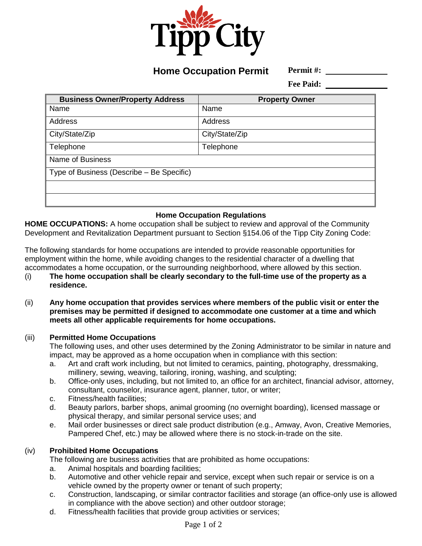

**Home Occupation Permit**

**Permit #:** 

**Fee Paid:** 

| <b>Business Owner/Property Address</b>    | <b>Property Owner</b> |
|-------------------------------------------|-----------------------|
| Name                                      | Name                  |
| Address                                   | Address               |
| City/State/Zip                            | City/State/Zip        |
| Telephone                                 | Telephone             |
| Name of Business                          |                       |
| Type of Business (Describe – Be Specific) |                       |
|                                           |                       |
|                                           |                       |

# **Home Occupation Regulations**

**HOME OCCUPATIONS:** A home occupation shall be subject to review and approval of the Community Development and Revitalization Department pursuant to Section §154.06 of the Tipp City Zoning Code:

The following standards for home occupations are intended to provide reasonable opportunities for employment within the home, while avoiding changes to the residential character of a dwelling that accommodates a home occupation, or the surrounding neighborhood, where allowed by this section.

- (i) **The home occupation shall be clearly secondary to the full-time use of the property as a residence.**
- (ii) **Any home occupation that provides services where members of the public visit or enter the premises may be permitted if designed to accommodate one customer at a time and which meets all other applicable requirements for home occupations.**

## (iii) **Permitted Home Occupations**

The following uses, and other uses determined by the Zoning Administrator to be similar in nature and impact, may be approved as a home occupation when in compliance with this section:

- a. Art and craft work including, but not limited to ceramics, painting, photography, dressmaking, millinery, sewing, weaving, tailoring, ironing, washing, and sculpting;
- b. Office-only uses, including, but not limited to, an office for an architect, financial advisor, attorney, consultant, counselor, insurance agent, planner, tutor, or writer;
- c. Fitness/health facilities;
- d. Beauty parlors, barber shops, animal grooming (no overnight boarding), licensed massage or physical therapy, and similar personal service uses; and
- e. Mail order businesses or direct sale product distribution (e.g., Amway, Avon, Creative Memories, Pampered Chef, etc.) may be allowed where there is no stock-in-trade on the site.

## (iv) **Prohibited Home Occupations**

The following are business activities that are prohibited as home occupations:

- a. Animal hospitals and boarding facilities;
- b. Automotive and other vehicle repair and service, except when such repair or service is on a vehicle owned by the property owner or tenant of such property;
- c. Construction, landscaping, or similar contractor facilities and storage (an office-only use is allowed in compliance with the above section) and other outdoor storage;
- d. Fitness/health facilities that provide group activities or services;